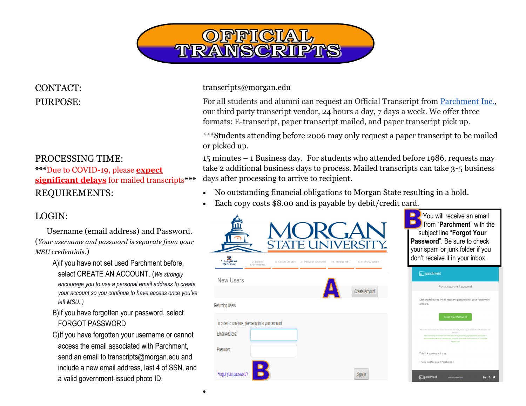

# PROCESSING TIME:

**\*\*\***Due to COVID-19, please **expect significant delays** for mailed transcripts**\*\*\***

## LOGIN:

 Username (email address) and Password. (*Your username and password is separate from your MSU credentials.*)

- A)If you have not set used Parchment before, select CREATE AN ACCOUNT. (*We strongly encourage you to use a personal email address to create your account so you continue to have access once you've left MSU. )*
- B)If you have forgotten your password, select FORGOT PASSWORD
- C)If you have forgotten your username or cannot access the email associated with Parchment, send an email to transcripts@morgan.edu and include a new email address, last 4 of SSN, and a valid government-issued photo ID.

•

### CONTACT: transcripts@morgan.edu

PURPOSE: For all students and alumni can request an Official Transcript from [Parchment Inc.,](https://exchange.parchment.com/send/adds/index.php?main_page=login&s_id=Q5pVp1evsSONeku3)  our third party transcript vendor, 24 hours a day, 7 days a week. We offer three formats: E-transcript, paper transcript mailed, and paper transcript pick up.

> \*\*\*Students attending before 2006 may only request a paper transcript to be mailed or picked up.

> 15 minutes – 1 Business day. For students who attended before 1986, requests may take 2 additional business days to process. Mailed transcripts can take 3-5 business days after processing to arrive to recipient.

- REQUIREMENTS: No outstanding financial obligations to Morgan State resulting in a hold.
	- Each copy costs \$8.00 and is payable by debit/credit card.



 $in f y$